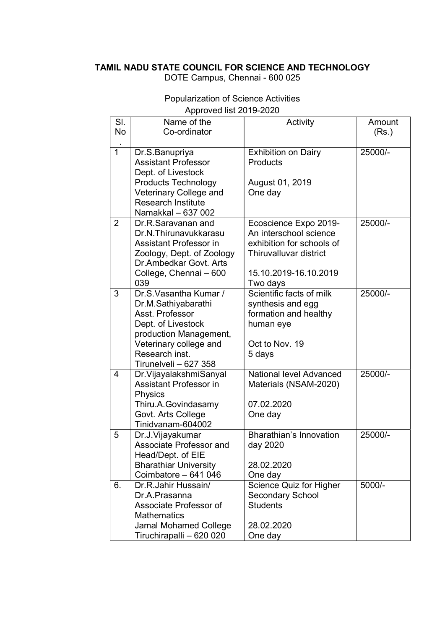## TAMIL NADU STATE COUNCIL FOR SCIENCE AND TECHNOLOGY

DOTE Campus, Chennai - 600 025

|                | Approved list ZU 19-ZUZU       |                                |          |  |  |
|----------------|--------------------------------|--------------------------------|----------|--|--|
| SI.            | Name of the                    | Activity                       | Amount   |  |  |
| <b>No</b>      | Co-ordinator                   |                                | (Rs.)    |  |  |
|                |                                |                                |          |  |  |
| $\mathbf{1}$   | Dr.S.Banupriya                 | <b>Exhibition on Dairy</b>     | 25000/-  |  |  |
|                | <b>Assistant Professor</b>     | <b>Products</b>                |          |  |  |
|                | Dept. of Livestock             |                                |          |  |  |
|                | <b>Products Technology</b>     | August 01, 2019                |          |  |  |
|                | Veterinary College and         | One day                        |          |  |  |
|                | <b>Research Institute</b>      |                                |          |  |  |
|                | Namakkal - 637 002             |                                |          |  |  |
| $\overline{2}$ | Dr.R.Saravanan and             | Ecoscience Expo 2019-          | 25000/-  |  |  |
|                | Dr.N.Thirunavukkarasu          | An interschool science         |          |  |  |
|                | Assistant Professor in         | exhibition for schools of      |          |  |  |
|                | Zoology, Dept. of Zoology      | Thiruvalluvar district         |          |  |  |
|                | Dr. Ambedkar Govt. Arts        |                                |          |  |  |
|                | College, Chennai - 600         | 15.10.2019-16.10.2019          |          |  |  |
|                | 039                            | Two days                       |          |  |  |
| 3              | Dr.S. Vasantha Kumar /         | Scientific facts of milk       | 25000/-  |  |  |
|                |                                |                                |          |  |  |
|                | Dr.M.Sathiyabarathi            | synthesis and egg              |          |  |  |
|                | Asst. Professor                | formation and healthy          |          |  |  |
|                | Dept. of Livestock             | human eye                      |          |  |  |
|                | production Management,         |                                |          |  |  |
|                | Veterinary college and         | Oct to Nov. 19                 |          |  |  |
|                | Research inst.                 | 5 days                         |          |  |  |
|                | Tirunelveli - 627 358          |                                |          |  |  |
| $\overline{4}$ | Dr. Vijayalakshmi Sanyal       | National level Advanced        | 25000/-  |  |  |
|                | <b>Assistant Professor in</b>  | Materials (NSAM-2020)          |          |  |  |
|                | Physics                        |                                |          |  |  |
|                | Thiru.A.Govindasamy            | 07.02.2020                     |          |  |  |
|                | Govt. Arts College             | One day                        |          |  |  |
|                | Tinidvanam-604002              |                                |          |  |  |
| 5              | Dr.J.Vijayakumar               | <b>Bharathian's Innovation</b> | 25000/-  |  |  |
|                | <b>Associate Professor and</b> | day 2020                       |          |  |  |
|                | Head/Dept. of EIE              |                                |          |  |  |
|                | <b>Bharathiar University</b>   | 28.02.2020                     |          |  |  |
|                | Coimbatore - 641 046           | One day                        |          |  |  |
| 6.             | Dr.R.Jahir Hussain/            | Science Quiz for Higher        | $5000/-$ |  |  |
|                | Dr.A.Prasanna                  | <b>Secondary School</b>        |          |  |  |
|                | Associate Professor of         | <b>Students</b>                |          |  |  |
|                | <b>Mathematics</b>             |                                |          |  |  |
|                | Jamal Mohamed College          | 28.02.2020                     |          |  |  |
|                | Tiruchirapalli - 620 020       | One day                        |          |  |  |

## Popularization of Science Activities Approved list 2019-2020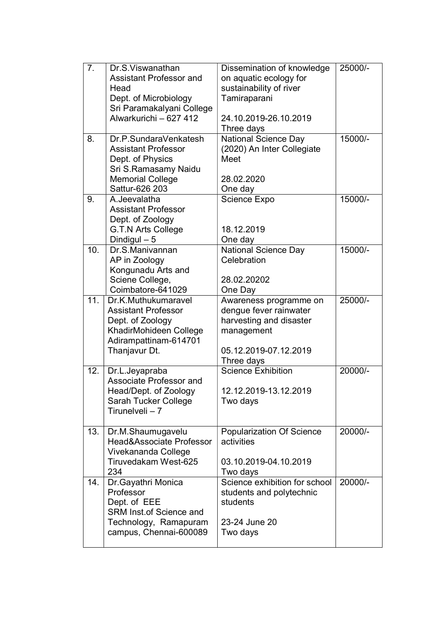| 7.                | Dr.S.Viswanathan<br><b>Assistant Professor and</b>  | Dissemination of knowledge<br>on aquatic ecology for | 25000/-   |
|-------------------|-----------------------------------------------------|------------------------------------------------------|-----------|
|                   | Head                                                | sustainability of river                              |           |
|                   | Dept. of Microbiology                               | Tamiraparani                                         |           |
|                   | Sri Paramakalyani College                           |                                                      |           |
|                   | Alwarkurichi - 627 412                              | 24.10.2019-26.10.2019                                |           |
|                   |                                                     | Three days                                           |           |
| 8.                | Dr.P.SundaraVenkatesh<br><b>Assistant Professor</b> | <b>National Science Day</b>                          | 15000/-   |
|                   | Dept. of Physics                                    | (2020) An Inter Collegiate<br>Meet                   |           |
|                   | Sri S.Ramasamy Naidu                                |                                                      |           |
|                   | <b>Memorial College</b>                             | 28.02.2020                                           |           |
|                   | Sattur-626 203                                      | One day                                              |           |
| 9.                | A.Jeevalatha                                        | <b>Science Expo</b>                                  | 15000/-   |
|                   | <b>Assistant Professor</b>                          |                                                      |           |
|                   | Dept. of Zoology                                    |                                                      |           |
|                   | <b>G.T.N Arts College</b>                           | 18.12.2019                                           |           |
|                   | Dindigul $-5$                                       | One day                                              |           |
| 10.               | Dr.S.Manivannan                                     | <b>National Science Day</b>                          | $15000/-$ |
|                   | AP in Zoology                                       | Celebration                                          |           |
|                   | Kongunadu Arts and                                  |                                                      |           |
|                   | Sciene College,<br>Coimbatore-641029                | 28.02.20202                                          |           |
| $\overline{11}$ . | Dr.K.Muthukumaravel                                 | One Day<br>Awareness programme on                    | 25000/-   |
|                   | <b>Assistant Professor</b>                          | dengue fever rainwater                               |           |
|                   | Dept. of Zoology                                    | harvesting and disaster                              |           |
|                   | KhadirMohideen College                              | management                                           |           |
|                   | Adirampattinam-614701                               |                                                      |           |
|                   | Thanjavur Dt.                                       | 05.12.2019-07.12.2019                                |           |
|                   |                                                     | Three days                                           |           |
| 12.               | Dr.L.Jeyapraba                                      | <b>Science Exhibition</b>                            | 20000/-   |
|                   | Associate Professor and                             |                                                      |           |
|                   | Head/Dept. of Zoology                               | 12.12.2019-13.12.2019                                |           |
|                   | Sarah Tucker College                                | Two days                                             |           |
|                   | Tirunelveli - 7                                     |                                                      |           |
| 13.               | Dr.M.Shaumugavelu                                   | Popularization Of Science                            | 20000/-   |
|                   | Head&Associate Professor                            | activities                                           |           |
|                   | Vivekananda College                                 |                                                      |           |
|                   | Tiruvedakam West-625                                | 03.10.2019-04.10.2019                                |           |
|                   | 234                                                 | Two days                                             |           |
| 14.               | Dr.Gayathri Monica                                  | Science exhibition for school                        | 20000/-   |
|                   | Professor                                           | students and polytechnic                             |           |
|                   | Dept. of EEE                                        | students                                             |           |
|                   | <b>SRM Inst.of Science and</b>                      |                                                      |           |
|                   | Technology, Ramapuram                               | 23-24 June 20                                        |           |
|                   | campus, Chennai-600089                              | Two days                                             |           |
|                   |                                                     |                                                      |           |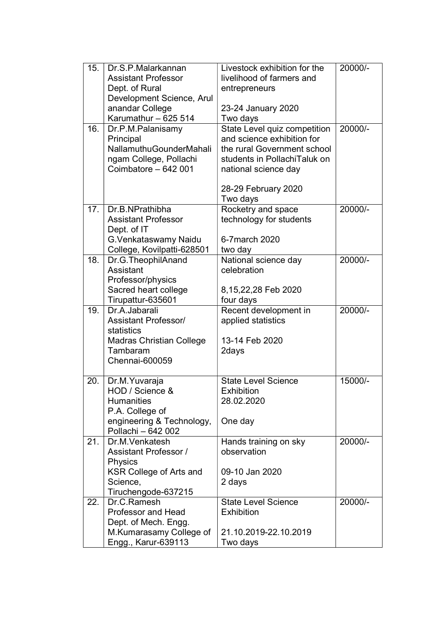| 15. | Dr.S.P.Malarkannan                              | Livestock exhibition for the | 20000/- |
|-----|-------------------------------------------------|------------------------------|---------|
|     | <b>Assistant Professor</b>                      | livelihood of farmers and    |         |
|     | Dept. of Rural                                  | entrepreneurs                |         |
|     | Development Science, Arul                       |                              |         |
|     | anandar College                                 | 23-24 January 2020           |         |
|     | Karumathur - 625 514                            | Two days                     |         |
| 16. | Dr.P.M.Palanisamy                               | State Level quiz competition | 20000/- |
|     | Principal                                       | and science exhibition for   |         |
|     | <b>NallamuthuGounderMahali</b>                  | the rural Government school  |         |
|     | ngam College, Pollachi                          | students in PollachiTaluk on |         |
|     | Coimbatore - 642 001                            | national science day         |         |
|     |                                                 | 28-29 February 2020          |         |
|     |                                                 | Two days                     |         |
| 17. | Dr.B.NPrathibha                                 | Rocketry and space           | 20000/- |
|     | <b>Assistant Professor</b>                      | technology for students      |         |
|     | Dept. of IT                                     |                              |         |
|     | G. Venkataswamy Naidu                           | 6-7 march 2020               |         |
|     | College, Kovilpatti-628501                      | two day                      |         |
| 18. | Dr.G.TheophilAnand                              | National science day         | 20000/- |
|     | Assistant                                       | celebration                  |         |
|     | Professor/physics                               |                              |         |
|     | Sacred heart college                            | 8,15,22,28 Feb 2020          |         |
|     | Tirupattur-635601                               | four days                    |         |
| 19. | Dr.A.Jabarali                                   | Recent development in        | 20000/- |
|     | <b>Assistant Professor/</b>                     | applied statistics           |         |
|     | statistics                                      |                              |         |
|     | <b>Madras Christian College</b>                 | 13-14 Feb 2020               |         |
|     | Tambaram                                        | 2days                        |         |
|     | Chennai-600059                                  |                              |         |
|     |                                                 |                              |         |
| 20. | Dr.M. Yuvaraja                                  | <b>State Level Science</b>   | 15000/- |
|     | HOD / Science &                                 | <b>Exhibition</b>            |         |
|     | <b>Humanities</b>                               | 28.02.2020                   |         |
|     | P.A. College of                                 |                              |         |
|     | engineering & Technology,<br>Pollachi - 642 002 | One day                      |         |
| 21. | Dr.M.Venkatesh                                  | Hands training on sky        | 20000/- |
|     | <b>Assistant Professor /</b>                    | observation                  |         |
|     | Physics                                         |                              |         |
|     | KSR College of Arts and                         | 09-10 Jan 2020               |         |
|     | Science,                                        | 2 days                       |         |
|     | Tiruchengode-637215                             |                              |         |
| 22. | Dr.C.Ramesh                                     | <b>State Level Science</b>   | 20000/- |
|     | <b>Professor and Head</b>                       | <b>Exhibition</b>            |         |
|     | Dept. of Mech. Engg.                            |                              |         |
|     | M.Kumarasamy College of                         | 21.10.2019-22.10.2019        |         |
|     | Engg., Karur-639113                             | Two days                     |         |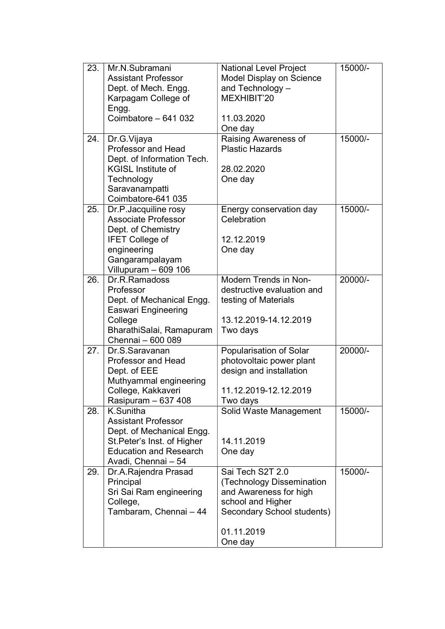| 23. | Mr.N.Subramani                | <b>National Level Project</b> | 15000/- |
|-----|-------------------------------|-------------------------------|---------|
|     | <b>Assistant Professor</b>    | Model Display on Science      |         |
|     | Dept. of Mech. Engg.          | and Technology -              |         |
|     | Karpagam College of           | MEXHIBIT'20                   |         |
|     | Engg.                         |                               |         |
|     | Coimbatore - 641 032          | 11.03.2020                    |         |
|     |                               | One day                       |         |
| 24. | Dr.G.Vijaya                   | Raising Awareness of          | 15000/- |
|     | <b>Professor and Head</b>     | <b>Plastic Hazards</b>        |         |
|     | Dept. of Information Tech.    |                               |         |
|     | <b>KGISL Institute of</b>     | 28.02.2020                    |         |
|     | Technology                    | One day                       |         |
|     | Saravanampatti                |                               |         |
|     | Coimbatore-641 035            |                               |         |
| 25. | Dr.P.Jacquiline rosy          | Energy conservation day       | 15000/- |
|     | <b>Associate Professor</b>    | Celebration                   |         |
|     | Dept. of Chemistry            |                               |         |
|     | <b>IFET College of</b>        | 12.12.2019                    |         |
|     | engineering                   | One day                       |         |
|     | Gangarampalayam               |                               |         |
|     | Villupuram - 609 106          |                               |         |
| 26. | Dr.R.Ramadoss                 | <b>Modern Trends in Non-</b>  | 20000/- |
|     | Professor                     | destructive evaluation and    |         |
|     | Dept. of Mechanical Engg.     | testing of Materials          |         |
|     | <b>Easwari Engineering</b>    |                               |         |
|     | College                       | 13.12.2019-14.12.2019         |         |
|     | BharathiSalai, Ramapuram      | Two days                      |         |
|     | Chennai - 600 089             |                               |         |
| 27. | Dr.S.Saravanan                | Popularisation of Solar       | 20000/- |
|     | <b>Professor and Head</b>     | photovoltaic power plant      |         |
|     | Dept. of EEE                  | design and installation       |         |
|     | Muthyammal engineering        |                               |         |
|     | College, Kakkaveri            | 11.12.2019-12.12.2019         |         |
|     | Rasipuram - 637 408           | Two days                      |         |
| 28. | K.Sunitha                     | Solid Waste Management        | 15000/- |
|     | <b>Assistant Professor</b>    |                               |         |
|     | Dept. of Mechanical Engg.     |                               |         |
|     | St. Peter's Inst. of Higher   | 14.11.2019                    |         |
|     | <b>Education and Research</b> | One day                       |         |
|     | Avadi, Chennai - 54           |                               |         |
| 29. | Dr.A.Rajendra Prasad          | Sai Tech S2T 2.0              | 15000/- |
|     | Principal                     | (Technology Dissemination     |         |
|     | Sri Sai Ram engineering       | and Awareness for high        |         |
|     | College,                      | school and Higher             |         |
|     | Tambaram, Chennai - 44        | Secondary School students)    |         |
|     |                               | 01.11.2019                    |         |
|     |                               |                               |         |
|     |                               | One day                       |         |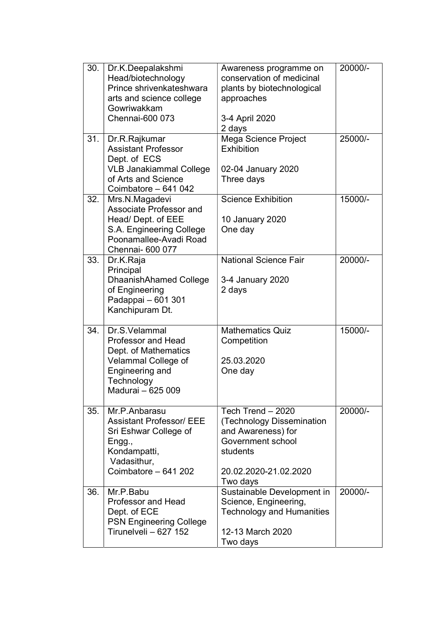| 30. | Dr.K.Deepalakshmi<br>Head/biotechnology            | Awareness programme on<br>conservation of medicinal | 20000/- |
|-----|----------------------------------------------------|-----------------------------------------------------|---------|
|     | Prince shrivenkateshwara                           | plants by biotechnological                          |         |
|     | arts and science college                           | approaches                                          |         |
|     | Gowriwakkam                                        |                                                     |         |
|     | Chennai-600 073                                    | 3-4 April 2020                                      |         |
|     |                                                    | 2 days                                              |         |
| 31. | Dr.R.Rajkumar                                      | Mega Science Project                                | 25000/- |
|     | <b>Assistant Professor</b><br>Dept. of ECS         | <b>Exhibition</b>                                   |         |
|     | <b>VLB Janakiammal College</b>                     | 02-04 January 2020                                  |         |
|     | of Arts and Science                                | Three days                                          |         |
|     | Coimbatore - 641 042                               |                                                     |         |
| 32. | Mrs.N.Magadevi                                     | <b>Science Exhibition</b>                           | 15000/- |
|     | Associate Professor and                            |                                                     |         |
|     | Head/ Dept. of EEE                                 | 10 January 2020                                     |         |
|     | S.A. Engineering College<br>Poonamallee-Avadi Road | One day                                             |         |
|     | Chennai- 600 077                                   |                                                     |         |
| 33. | Dr.K.Raja                                          | <b>National Science Fair</b>                        | 20000/- |
|     | Principal                                          |                                                     |         |
|     | DhaanishAhamed College                             | 3-4 January 2020                                    |         |
|     | of Engineering                                     | 2 days                                              |         |
|     | Padappai - 601 301                                 |                                                     |         |
|     | Kanchipuram Dt.                                    |                                                     |         |
|     |                                                    |                                                     |         |
| 34. | Dr.S.Velammal                                      | <b>Mathematics Quiz</b>                             | 15000/- |
|     | <b>Professor and Head</b>                          | Competition                                         |         |
|     | Dept. of Mathematics                               |                                                     |         |
|     | Velammal College of                                | 25.03.2020                                          |         |
|     | Engineering and<br>Technology                      | One day                                             |         |
|     | Madurai - 625 009                                  |                                                     |         |
|     |                                                    |                                                     |         |
| 35. | Mr.P.Anbarasu                                      | Tech Trend $-2020$                                  | 20000/- |
|     | <b>Assistant Professor/ EEE</b>                    | (Technology Dissemination                           |         |
|     | Sri Eshwar College of                              | and Awareness) for                                  |         |
|     | Engg.,                                             | Government school                                   |         |
|     | Kondampatti,                                       | students                                            |         |
|     | Vadasithur,                                        |                                                     |         |
|     | Coimbatore - 641 202                               | 20.02.2020-21.02.2020                               |         |
|     |                                                    | Two days                                            |         |
| 36. | Mr.P.Babu                                          | Sustainable Development in                          | 20000/- |
|     | <b>Professor and Head</b>                          | Science, Engineering,                               |         |
|     | Dept. of ECE<br><b>PSN Engineering College</b>     | <b>Technology and Humanities</b>                    |         |
|     | Tirunelveli - 627 152                              | 12-13 March 2020                                    |         |
|     |                                                    | Two days                                            |         |
|     |                                                    |                                                     |         |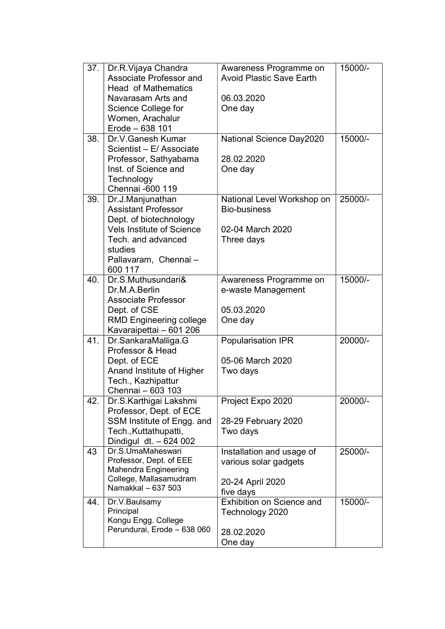| 37. | Dr.R.Vijaya Chandra                          | Awareness Programme on          | 15000/- |
|-----|----------------------------------------------|---------------------------------|---------|
|     | Associate Professor and                      | <b>Avoid Plastic Save Earth</b> |         |
|     | <b>Head of Mathematics</b>                   |                                 |         |
|     | Navarasam Arts and                           | 06.03.2020                      |         |
|     | Science College for                          | One day                         |         |
|     | Women, Arachalur                             |                                 |         |
|     | Erode - 638 101                              |                                 |         |
| 38. | Dr.V.Ganesh Kumar                            | National Science Day2020        | 15000/- |
|     | Scientist - E/ Associate                     |                                 |         |
|     | Professor, Sathyabama                        | 28.02.2020                      |         |
|     | Inst. of Science and                         | One day                         |         |
|     | Technology                                   |                                 |         |
|     | Chennai -600 119                             |                                 |         |
| 39. | Dr.J.Manjunathan                             | National Level Workshop on      | 25000/- |
|     | <b>Assistant Professor</b>                   | <b>Bio-business</b>             |         |
|     | Dept. of biotechnology                       |                                 |         |
|     | <b>Vels Institute of Science</b>             | 02-04 March 2020                |         |
|     | Tech. and advanced                           | Three days                      |         |
|     | studies                                      |                                 |         |
|     | Pallavaram, Chennai-                         |                                 |         |
|     | 600 117                                      |                                 |         |
| 40. | Dr.S.Muthusundari&                           | Awareness Programme on          | 15000/- |
|     | Dr.M.A.Berlin                                | e-waste Management              |         |
|     | Associate Professor                          |                                 |         |
|     | Dept. of CSE                                 | 05.03.2020                      |         |
|     | <b>RMD Engineering college</b>               | One day                         |         |
|     | Kavaraipettai – 601 206                      |                                 |         |
| 41. | Dr.SankaraMalliga.G                          | <b>Popularisation IPR</b>       | 20000/- |
|     | Professor & Head                             |                                 |         |
|     | Dept. of ECE                                 | 05-06 March 2020                |         |
|     | Anand Institute of Higher                    | Two days                        |         |
|     | Tech., Kazhipattur                           |                                 |         |
|     | Chennai - 603 103                            |                                 |         |
| 42. | Dr.S.Karthigai Lakshmi                       | Project Expo 2020               | 20000/- |
|     | Professor, Dept. of ECE                      |                                 |         |
|     | SSM Institute of Engg. and                   | 28-29 February 2020             |         |
|     | Tech., Kuttathupatti,                        | Two days                        |         |
|     | Dindigul dt. - 624 002                       |                                 |         |
| 43  | Dr.S.UmaMaheswari                            | Installation and usage of       | 25000/- |
|     | Professor, Dept. of EEE                      | various solar gadgets           |         |
|     | Mahendra Engineering                         |                                 |         |
|     | College, Mallasamudram<br>Namakkal - 637 503 | 20-24 April 2020                |         |
|     |                                              | five days                       |         |
| 44. | Dr.V.Baulsamy                                | Exhibition on Science and       | 15000/- |
|     | Principal                                    | Technology 2020                 |         |
|     | Kongu Engg. College                          |                                 |         |
|     | Perundurai, Erode - 638 060                  | 28.02.2020                      |         |
|     |                                              | One day                         |         |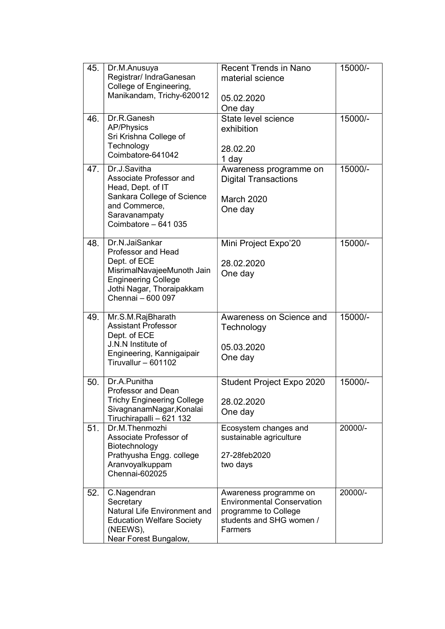| 45. | Dr.M.Anusuya<br>Registrar/ IndraGanesan<br>College of Engineering,                                                                                                        | <b>Recent Trends in Nano</b><br>material science                                                                           | 15000/- |
|-----|---------------------------------------------------------------------------------------------------------------------------------------------------------------------------|----------------------------------------------------------------------------------------------------------------------------|---------|
|     | Manikandam, Trichy-620012                                                                                                                                                 | 05.02.2020<br>One day                                                                                                      |         |
| 46. | Dr.R.Ganesh<br><b>AP/Physics</b><br>Sri Krishna College of<br>Technology<br>Coimbatore-641042                                                                             | State level science<br>exhibition<br>28.02.20<br>1 day                                                                     | 15000/- |
| 47. | Dr.J.Savitha<br>Associate Professor and<br>Head, Dept. of IT<br>Sankara College of Science<br>and Commerce,<br>Saravanampaty<br>Coimbatore - 641 035                      | Awareness programme on<br><b>Digital Transactions</b><br><b>March 2020</b><br>One day                                      | 15000/- |
| 48. | Dr.N.JaiSankar<br><b>Professor and Head</b><br>Dept. of ECE<br>MisrimalNavajeeMunoth Jain<br><b>Engineering College</b><br>Jothi Nagar, Thoraipakkam<br>Chennai - 600 097 | Mini Project Expo'20<br>28.02.2020<br>One day                                                                              | 15000/- |
| 49. | Mr.S.M.RajBharath<br><b>Assistant Professor</b><br>Dept. of ECE<br>J.N.N Institute of<br>Engineering, Kannigaipair<br>Tiruvallur $-601102$                                | Awareness on Science and<br>Technology<br>05.03.2020<br>One day                                                            | 15000/- |
| 50. | Dr.A.Punitha<br><b>Professor and Dean</b><br><b>Trichy Engineering College</b><br>SivagnanamNagar, Konalai<br>Tiruchirapalli - 621 132                                    | Student Project Expo 2020<br>28.02.2020<br>One day                                                                         | 15000/- |
| 51. | Dr.M.Thenmozhi<br>Associate Professor of<br>Biotechnology<br>Prathyusha Engg. college<br>Aranvoyalkuppam<br>Chennai-602025                                                | Ecosystem changes and<br>sustainable agriculture<br>27-28feb2020<br>two days                                               | 20000/- |
| 52. | C.Nagendran<br>Secretary<br>Natural Life Environment and<br><b>Education Welfare Society</b><br>(NEEWS),<br>Near Forest Bungalow,                                         | Awareness programme on<br><b>Environmental Conservation</b><br>programme to College<br>students and SHG women /<br>Farmers | 20000/- |